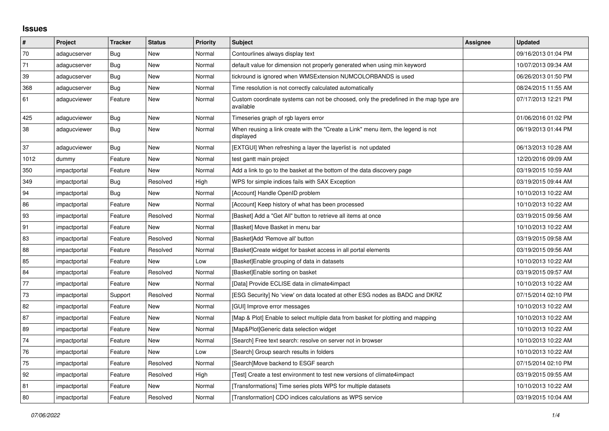## **Issues**

| #    | Project      | <b>Tracker</b> | <b>Status</b> | <b>Priority</b> | Subject                                                                                            | Assignee | <b>Updated</b>      |
|------|--------------|----------------|---------------|-----------------|----------------------------------------------------------------------------------------------------|----------|---------------------|
| 70   | adagucserver | Bug            | New           | Normal          | Contourlines always display text                                                                   |          | 09/16/2013 01:04 PM |
| 71   | adagucserver | Bug            | New           | Normal          | default value for dimension not properly generated when using min keyword                          |          | 10/07/2013 09:34 AM |
| 39   | adagucserver | Bug            | New           | Normal          | tickround is ignored when WMSExtension NUMCOLORBANDS is used                                       |          | 06/26/2013 01:50 PM |
| 368  | adagucserver | Bug            | New           | Normal          | Time resolution is not correctly calculated automatically                                          |          | 08/24/2015 11:55 AM |
| 61   | adagucviewer | Feature        | New           | Normal          | Custom coordinate systems can not be choosed, only the predefined in the map type are<br>available |          | 07/17/2013 12:21 PM |
| 425  | adagucviewer | Bug            | New           | Normal          | Timeseries graph of rgb layers error                                                               |          | 01/06/2016 01:02 PM |
| 38   | adagucviewer | Bug            | New           | Normal          | When reusing a link create with the "Create a Link" menu item, the legend is not<br>displayed      |          | 06/19/2013 01:44 PM |
| 37   | adaqucviewer | <b>Bug</b>     | <b>New</b>    | Normal          | [EXTGUI] When refreshing a layer the layerlist is not updated                                      |          | 06/13/2013 10:28 AM |
| 1012 | dummy        | Feature        | New           | Normal          | test gantt main project                                                                            |          | 12/20/2016 09:09 AM |
| 350  | impactportal | Feature        | <b>New</b>    | Normal          | Add a link to go to the basket at the bottom of the data discovery page                            |          | 03/19/2015 10:59 AM |
| 349  | impactportal | Bug            | Resolved      | High            | WPS for simple indices fails with SAX Exception                                                    |          | 03/19/2015 09:44 AM |
| 94   | impactportal | Bug            | <b>New</b>    | Normal          | [Account] Handle OpenID problem                                                                    |          | 10/10/2013 10:22 AM |
| 86   | impactportal | Feature        | New           | Normal          | [Account] Keep history of what has been processed                                                  |          | 10/10/2013 10:22 AM |
| 93   | impactportal | Feature        | Resolved      | Normal          | [Basket] Add a "Get All" button to retrieve all items at once                                      |          | 03/19/2015 09:56 AM |
| 91   | impactportal | Feature        | New           | Normal          | [Basket] Move Basket in menu bar                                                                   |          | 10/10/2013 10:22 AM |
| 83   | impactportal | Feature        | Resolved      | Normal          | [Basket]Add 'Remove all' button                                                                    |          | 03/19/2015 09:58 AM |
| 88   | impactportal | Feature        | Resolved      | Normal          | [Basket]Create widget for basket access in all portal elements                                     |          | 03/19/2015 09:56 AM |
| 85   | impactportal | Feature        | <b>New</b>    | Low             | [Basket] Enable grouping of data in datasets                                                       |          | 10/10/2013 10:22 AM |
| 84   | impactportal | Feature        | Resolved      | Normal          | [Basket]Enable sorting on basket                                                                   |          | 03/19/2015 09:57 AM |
| 77   | impactportal | Feature        | <b>New</b>    | Normal          | [Data] Provide ECLISE data in climate4impact                                                       |          | 10/10/2013 10:22 AM |
| 73   | impactportal | Support        | Resolved      | Normal          | [ESG Security] No 'view' on data located at other ESG nodes as BADC and DKRZ                       |          | 07/15/2014 02:10 PM |
| 82   | impactportal | Feature        | New           | Normal          | [GUI] Improve error messages                                                                       |          | 10/10/2013 10:22 AM |
| 87   | impactportal | Feature        | New           | Normal          | [Map & Plot] Enable to select multiple data from basket for plotting and mapping                   |          | 10/10/2013 10:22 AM |
| 89   | impactportal | Feature        | New           | Normal          | [Map&Plot]Generic data selection widget                                                            |          | 10/10/2013 10:22 AM |
| 74   | impactportal | Feature        | <b>New</b>    | Normal          | [Search] Free text search: resolve on server not in browser                                        |          | 10/10/2013 10:22 AM |
| 76   | impactportal | Feature        | <b>New</b>    | Low             | [Search] Group search results in folders                                                           |          | 10/10/2013 10:22 AM |
| 75   | impactportal | Feature        | Resolved      | Normal          | [Search]Move backend to ESGF search                                                                |          | 07/15/2014 02:10 PM |
| 92   | impactportal | Feature        | Resolved      | High            | [Test] Create a test environment to test new versions of climate4impact                            |          | 03/19/2015 09:55 AM |
| 81   | impactportal | Feature        | New           | Normal          | [Transformations] Time series plots WPS for multiple datasets                                      |          | 10/10/2013 10:22 AM |
| 80   | impactportal | Feature        | Resolved      | Normal          | [Transformation] CDO indices calculations as WPS service                                           |          | 03/19/2015 10:04 AM |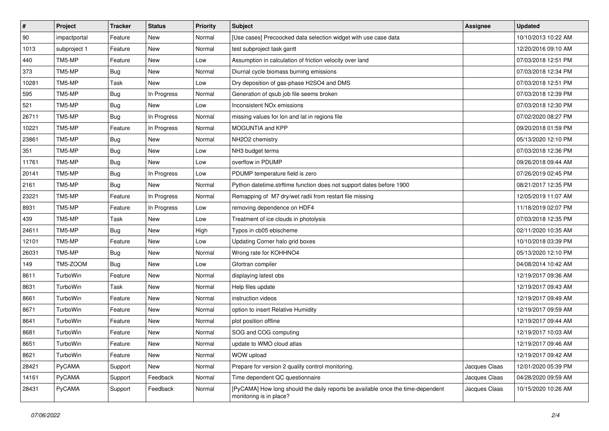| $\pmb{\#}$   | Project      | <b>Tracker</b> | <b>Status</b> | <b>Priority</b> | Subject                                                                                                    | <b>Assignee</b> | <b>Updated</b>      |
|--------------|--------------|----------------|---------------|-----------------|------------------------------------------------------------------------------------------------------------|-----------------|---------------------|
| $ 90\rangle$ | impactportal | Feature        | New           | Normal          | [Use cases] Precoocked data selection widget with use case data                                            |                 | 10/10/2013 10:22 AM |
| 1013         | subproject 1 | Feature        | <b>New</b>    | Normal          | test subproject task gantt                                                                                 |                 | 12/20/2016 09:10 AM |
| 440          | TM5-MP       | Feature        | New           | Low             | Assumption in calculation of friction velocity over land                                                   |                 | 07/03/2018 12:51 PM |
| 373          | TM5-MP       | <b>Bug</b>     | New           | Normal          | Diurnal cycle biomass burning emissions                                                                    |                 | 07/03/2018 12:34 PM |
| 10281        | TM5-MP       | Task           | New           | Low             | Dry deposition of gas-phase H2SO4 and DMS                                                                  |                 | 07/03/2018 12:51 PM |
| 595          | TM5-MP       | <b>Bug</b>     | In Progress   | Normal          | Generation of qsub job file seems broken                                                                   |                 | 07/03/2018 12:39 PM |
| 521          | TM5-MP       | <b>Bug</b>     | New           | Low             | Inconsistent NO <sub>x</sub> emissions                                                                     |                 | 07/03/2018 12:30 PM |
| 26711        | TM5-MP       | <b>Bug</b>     | In Progress   | Normal          | missing values for lon and lat in regions file                                                             |                 | 07/02/2020 08:27 PM |
| 10221        | TM5-MP       | Feature        | In Progress   | Normal          | MOGUNTIA and KPP                                                                                           |                 | 09/20/2018 01:59 PM |
| 23861        | TM5-MP       | <b>Bug</b>     | New           | Normal          | NH2O2 chemistry                                                                                            |                 | 05/13/2020 12:10 PM |
| 351          | TM5-MP       | <b>Bug</b>     | New           | Low             | NH3 budget terms                                                                                           |                 | 07/03/2018 12:36 PM |
| 11761        | TM5-MP       | <b>Bug</b>     | New           | Low             | overflow in PDUMP                                                                                          |                 | 09/26/2018 09:44 AM |
| 20141        | TM5-MP       | <b>Bug</b>     | In Progress   | Low             | PDUMP temperature field is zero                                                                            |                 | 07/26/2019 02:45 PM |
| 2161         | TM5-MP       | <b>Bug</b>     | New           | Normal          | Python datetime.strftime function does not support dates before 1900                                       |                 | 08/21/2017 12:35 PM |
| 23221        | TM5-MP       | Feature        | In Progress   | Normal          | Remapping of M7 dry/wet radii from restart file missing                                                    |                 | 12/05/2019 11:07 AM |
| 8931         | TM5-MP       | Feature        | In Progress   | Low             | removing dependence on HDF4                                                                                |                 | 11/18/2019 02:07 PM |
| 439          | TM5-MP       | Task           | New           | Low             | Treatment of ice clouds in photolysis                                                                      |                 | 07/03/2018 12:35 PM |
| 24611        | TM5-MP       | <b>Bug</b>     | New           | High            | Typos in cb05 ebischeme                                                                                    |                 | 02/11/2020 10:35 AM |
| 12101        | TM5-MP       | Feature        | New           | Low             | Updating Corner halo grid boxes                                                                            |                 | 10/10/2018 03:39 PM |
| 26031        | TM5-MP       | <b>Bug</b>     | New           | Normal          | Wrong rate for KOHHNO4                                                                                     |                 | 05/13/2020 12:10 PM |
| 149          | TM5-ZOOM     | Bug            | New           | Low             | Gfortran compiler                                                                                          |                 | 04/08/2014 10:42 AM |
| 8611         | TurboWin     | Feature        | New           | Normal          | displaying latest obs                                                                                      |                 | 12/19/2017 09:36 AM |
| 8631         | TurboWin     | Task           | <b>New</b>    | Normal          | Help files update                                                                                          |                 | 12/19/2017 09:43 AM |
| 8661         | TurboWin     | Feature        | New           | Normal          | instruction videos                                                                                         |                 | 12/19/2017 09:49 AM |
| 8671         | TurboWin     | Feature        | New           | Normal          | option to insert Relative Humidity                                                                         |                 | 12/19/2017 09:59 AM |
| 8641         | TurboWin     | Feature        | New           | Normal          | plot position offline                                                                                      |                 | 12/19/2017 09:44 AM |
| 8681         | TurboWin     | Feature        | New           | Normal          | SOG and COG computing                                                                                      |                 | 12/19/2017 10:03 AM |
| 8651         | TurboWin     | Feature        | <b>New</b>    | Normal          | update to WMO cloud atlas                                                                                  |                 | 12/19/2017 09:46 AM |
| 8621         | TurboWin     | Feature        | New           | Normal          | WOW upload                                                                                                 |                 | 12/19/2017 09:42 AM |
| 28421        | PyCAMA       | Support        | New           | Normal          | Prepare for version 2 quality control monitoring.                                                          | Jacques Claas   | 12/01/2020 05:39 PM |
| 14161        | PyCAMA       | Support        | Feedback      | Normal          | Time dependent QC questionnaire                                                                            | Jacques Claas   | 04/28/2020 09:59 AM |
| 28431        | PyCAMA       | Support        | Feedback      | Normal          | [PyCAMA] How long should the daily reports be available once the time-dependent<br>monitoring is in place? | Jacques Claas   | 10/15/2020 10:26 AM |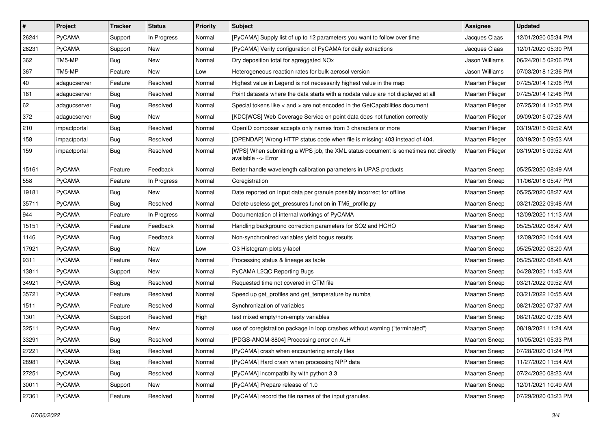| $\vert$ #    | Project       | <b>Tracker</b> | <b>Status</b> | <b>Priority</b> | <b>Subject</b>                                                                                            | Assignee               | <b>Updated</b>      |
|--------------|---------------|----------------|---------------|-----------------|-----------------------------------------------------------------------------------------------------------|------------------------|---------------------|
| 26241        | PyCAMA        | Support        | In Progress   | Normal          | [PyCAMA] Supply list of up to 12 parameters you want to follow over time                                  | Jacques Claas          | 12/01/2020 05:34 PM |
| 26231        | PyCAMA        | Support        | <b>New</b>    | Normal          | [PyCAMA] Verify configuration of PyCAMA for daily extractions                                             | Jacques Claas          | 12/01/2020 05:30 PM |
| 362          | TM5-MP        | <b>Bug</b>     | New           | Normal          | Dry deposition total for agreggated NOx                                                                   | Jason Williams         | 06/24/2015 02:06 PM |
| 367          | TM5-MP        | Feature        | New           | Low             | Heterogeneous reaction rates for bulk aerosol version                                                     | Jason Williams         | 07/03/2018 12:36 PM |
| $ 40\rangle$ | adagucserver  | Feature        | Resolved      | Normal          | Highest value in Legend is not necessarily highest value in the map                                       | Maarten Plieger        | 07/25/2014 12:06 PM |
| 161          | adagucserver  | <b>Bug</b>     | Resolved      | Normal          | Point datasets where the data starts with a nodata value are not displayed at all                         | <b>Maarten Plieger</b> | 07/25/2014 12:46 PM |
| 62           | adagucserver  | <b>Bug</b>     | Resolved      | Normal          | Special tokens like < and > are not encoded in the GetCapabilities document                               | Maarten Plieger        | 07/25/2014 12:05 PM |
| 372          | adagucserver  | Bug            | New           | Normal          | [KDC WCS] Web Coverage Service on point data does not function correctly                                  | Maarten Plieger        | 09/09/2015 07:28 AM |
| 210          | impactportal  | <b>Bug</b>     | Resolved      | Normal          | OpenID composer accepts only names from 3 characters or more                                              | Maarten Plieger        | 03/19/2015 09:52 AM |
| 158          | impactportal  | Bug            | Resolved      | Normal          | [OPENDAP] Wrong HTTP status code when file is missing: 403 instead of 404.                                | Maarten Plieger        | 03/19/2015 09:53 AM |
| 159          | impactportal  | <b>Bug</b>     | Resolved      | Normal          | [WPS] When submitting a WPS job, the XML status document is sometimes not directly<br>available --> Error | Maarten Plieger        | 03/19/2015 09:52 AM |
| 15161        | PyCAMA        | Feature        | Feedback      | Normal          | Better handle wavelength calibration parameters in UPAS products                                          | Maarten Sneep          | 05/25/2020 08:49 AM |
| 558          | PyCAMA        | Feature        | In Progress   | Normal          | Coregistration                                                                                            | <b>Maarten Sneep</b>   | 11/06/2018 05:47 PM |
| 19181        | PyCAMA        | <b>Bug</b>     | New           | Normal          | Date reported on Input data per granule possibly incorrect for offline                                    | <b>Maarten Sneep</b>   | 05/25/2020 08:27 AM |
| 35711        | PyCAMA        | <b>Bug</b>     | Resolved      | Normal          | Delete useless get pressures function in TM5 profile.py                                                   | <b>Maarten Sneep</b>   | 03/21/2022 09:48 AM |
| 944          | PyCAMA        | Feature        | In Progress   | Normal          | Documentation of internal workings of PyCAMA                                                              | Maarten Sneep          | 12/09/2020 11:13 AM |
| 15151        | PyCAMA        | Feature        | Feedback      | Normal          | Handling background correction parameters for SO2 and HCHO                                                | Maarten Sneep          | 05/25/2020 08:47 AM |
| 1146         | PyCAMA        | <b>Bug</b>     | Feedback      | Normal          | Non-synchronized variables yield bogus results                                                            | <b>Maarten Sneep</b>   | 12/09/2020 10:44 AM |
| 17921        | PyCAMA        | Bug            | New           | Low             | O3 Histogram plots y-label                                                                                | <b>Maarten Sneep</b>   | 05/25/2020 08:20 AM |
| 9311         | PyCAMA        | Feature        | <b>New</b>    | Normal          | Processing status & lineage as table                                                                      | Maarten Sneep          | 05/25/2020 08:48 AM |
| 13811        | PyCAMA        | Support        | New           | Normal          | PyCAMA L2QC Reporting Bugs                                                                                | <b>Maarten Sneep</b>   | 04/28/2020 11:43 AM |
| 34921        | PyCAMA        | Bug            | Resolved      | Normal          | Requested time not covered in CTM file                                                                    | <b>Maarten Sneep</b>   | 03/21/2022 09:52 AM |
| 35721        | PyCAMA        | Feature        | Resolved      | Normal          | Speed up get_profiles and get_temperature by numba                                                        | <b>Maarten Sneep</b>   | 03/21/2022 10:55 AM |
| 1511         | PyCAMA        | Feature        | Resolved      | Normal          | Synchronization of variables                                                                              | <b>Maarten Sneep</b>   | 08/21/2020 07:37 AM |
| 1301         | PyCAMA        | Support        | Resolved      | High            | test mixed empty/non-empty variables                                                                      | <b>Maarten Sneep</b>   | 08/21/2020 07:38 AM |
| 32511        | PyCAMA        | Bug            | New           | Normal          | use of coregistration package in loop crashes without warning ("terminated")                              | <b>Maarten Sneep</b>   | 08/19/2021 11:24 AM |
| 33291        | <b>PyCAMA</b> | Bug            | Resolved      | Normal          | [PDGS-ANOM-8804] Processing error on ALH                                                                  | Maarten Sneep          | 10/05/2021 05:33 PM |
| 27221        | PyCAMA        | <b>Bug</b>     | Resolved      | Normal          | [PyCAMA] crash when encountering empty files                                                              | Maarten Sneep          | 07/28/2020 01:24 PM |
| 28981        | PyCAMA        | Bug            | Resolved      | Normal          | [PyCAMA] Hard crash when processing NPP data                                                              | Maarten Sneep          | 11/27/2020 11:54 AM |
| 27251        | PyCAMA        | Bug            | Resolved      | Normal          | [PyCAMA] incompatibility with python 3.3                                                                  | Maarten Sneep          | 07/24/2020 08:23 AM |
| 30011        | PyCAMA        | Support        | New           | Normal          | [PyCAMA] Prepare release of 1.0                                                                           | Maarten Sneep          | 12/01/2021 10:49 AM |
| 27361        | PyCAMA        | Feature        | Resolved      | Normal          | [PyCAMA] record the file names of the input granules.                                                     | Maarten Sneep          | 07/29/2020 03:23 PM |